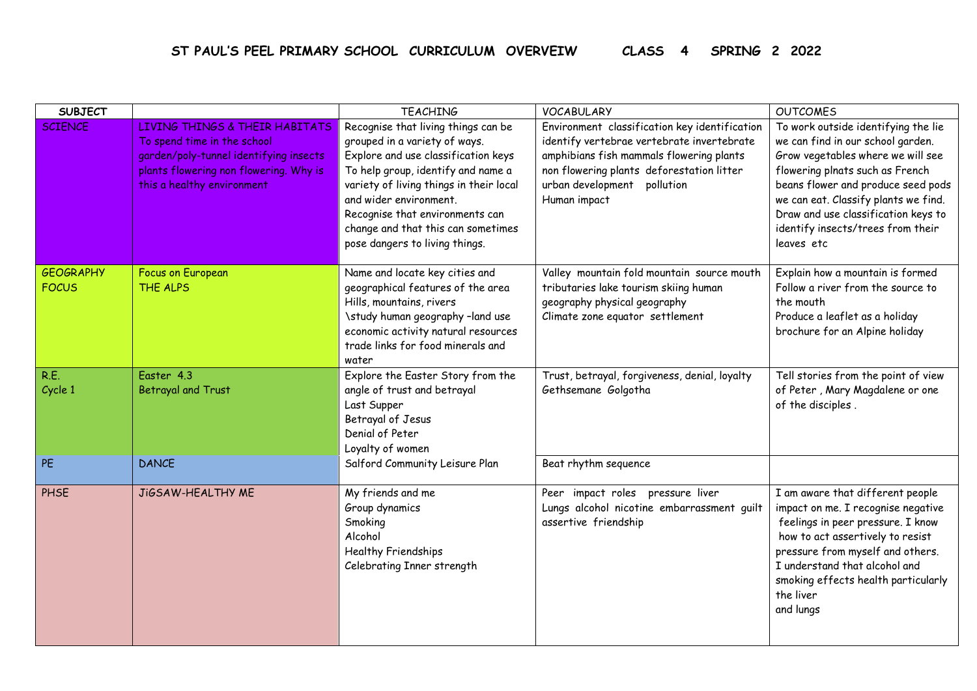**ST PAUL'S PEEL PRIMARY SCHOOL CURRICULUM OVERVEIW CLASS 4 SPRING 2 2022**

| <b>SUBJECT</b>                   |                                                                                                                                                                                 | <b>TEACHING</b>                                                                                                                                                                                                                                                                                                                   | <b>VOCABULARY</b>                                                                                                                                                                                                                   | <b>OUTCOMES</b>                                                                                                                                                                                                                                                                                                          |
|----------------------------------|---------------------------------------------------------------------------------------------------------------------------------------------------------------------------------|-----------------------------------------------------------------------------------------------------------------------------------------------------------------------------------------------------------------------------------------------------------------------------------------------------------------------------------|-------------------------------------------------------------------------------------------------------------------------------------------------------------------------------------------------------------------------------------|--------------------------------------------------------------------------------------------------------------------------------------------------------------------------------------------------------------------------------------------------------------------------------------------------------------------------|
| <b>SCIENCE</b>                   | LIVING THINGS & THEIR HABITATS<br>To spend time in the school<br>garden/poly-tunnel identifying insects<br>plants flowering non flowering. Why is<br>this a healthy environment | Recognise that living things can be<br>grouped in a variety of ways.<br>Explore and use classification keys<br>To help group, identify and name a<br>variety of living things in their local<br>and wider environment.<br>Recognise that environments can<br>change and that this can sometimes<br>pose dangers to living things. | Environment classification key identification<br>identify vertebrae vertebrate invertebrate<br>amphibians fish mammals flowering plants<br>non flowering plants deforestation litter<br>urban development pollution<br>Human impact | To work outside identifying the lie<br>we can find in our school garden.<br>Grow vegetables where we will see<br>flowering plnats such as French<br>beans flower and produce seed pods<br>we can eat. Classify plants we find.<br>Draw and use classification keys to<br>identify insects/trees from their<br>leaves etc |
| <b>GEOGRAPHY</b><br><b>FOCUS</b> | Focus on European<br>THE ALPS                                                                                                                                                   | Name and locate key cities and<br>geographical features of the area<br>Hills, mountains, rivers<br>\study human geography -land use<br>economic activity natural resources<br>trade links for food minerals and<br>water                                                                                                          | Valley mountain fold mountain source mouth<br>tributaries lake tourism skiing human<br>geography physical geography<br>Climate zone equator settlement                                                                              | Explain how a mountain is formed<br>Follow a river from the source to<br>the mouth<br>Produce a leaflet as a holiday<br>brochure for an Alpine holiday                                                                                                                                                                   |
| R.E.<br>Cycle 1                  | Easter 4.3<br>Betrayal and Trust                                                                                                                                                | Explore the Easter Story from the<br>angle of trust and betrayal<br>Last Supper<br>Betrayal of Jesus<br>Denial of Peter<br>Loyalty of women                                                                                                                                                                                       | Trust, betrayal, forgiveness, denial, loyalty<br>Gethsemane Golgotha                                                                                                                                                                | Tell stories from the point of view<br>of Peter, Mary Magdalene or one<br>of the disciples.                                                                                                                                                                                                                              |
| PE                               | <b>DANCE</b>                                                                                                                                                                    | Salford Community Leisure Plan                                                                                                                                                                                                                                                                                                    | Beat rhythm sequence                                                                                                                                                                                                                |                                                                                                                                                                                                                                                                                                                          |
| PHSE                             | JIGSAW-HEALTHY ME                                                                                                                                                               | My friends and me<br>Group dynamics<br>Smoking<br>Alcohol<br>Healthy Friendships<br>Celebrating Inner strength                                                                                                                                                                                                                    | Peer impact roles pressure liver<br>Lungs alcohol nicotine embarrassment guilt<br>assertive friendship                                                                                                                              | I am aware that different people<br>impact on me. I recognise negative<br>feelings in peer pressure. I know<br>how to act assertively to resist<br>pressure from myself and others.<br>I understand that alcohol and<br>smoking effects health particularly<br>the liver<br>and lungs                                    |